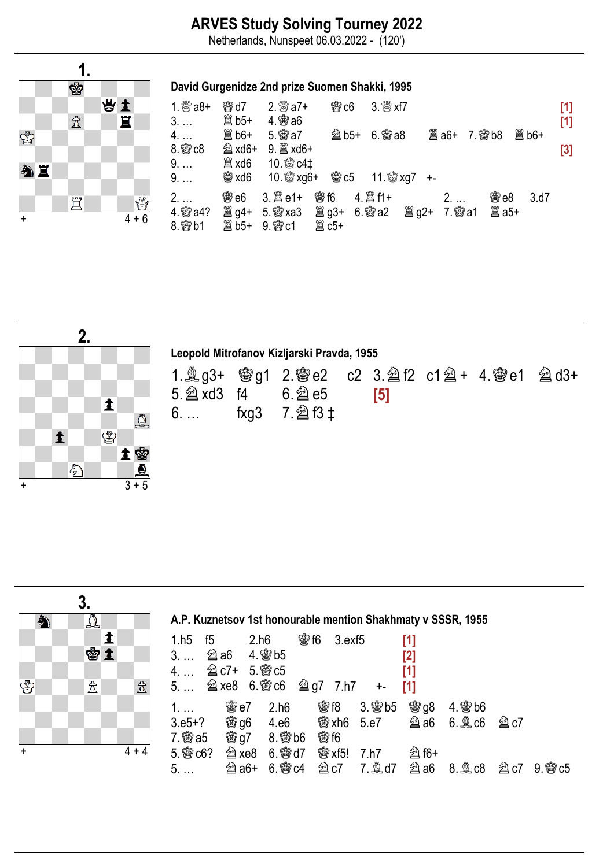## ARVES Study Solving Tourney 2022

Netherlands, Nunspeet 06.03.2022 - (120')





| Leopold Mitrofanov Kizljarski Pravda, 1955 |  |                                         |  |     |  |  |  |  |  |  |  |  |  |
|--------------------------------------------|--|-----------------------------------------|--|-----|--|--|--|--|--|--|--|--|--|
| $5.2$ xd3 f4 6.2 e5                        |  | 6.  fxg3 7. $\hat{\mathbb{Z}}$ f3 $\pm$ |  | [5] |  |  |  |  |  |  |  |  |  |



| A.P. Kuznetsov 1st honourable mention Shakhmaty v SSSR, 1955                          |     |  |                             |  |              |                                          |        |                  |  |  |  |  |  |
|---------------------------------------------------------------------------------------|-----|--|-----------------------------|--|--------------|------------------------------------------|--------|------------------|--|--|--|--|--|
| 1.h5 f5 2.h6                                                                          |     |  | <b>臠 f6</b><br>$3.$ exf $5$ |  | [1]          |                                          |        |                  |  |  |  |  |  |
|                                                                                       |     |  |                             |  | [2]          |                                          |        |                  |  |  |  |  |  |
| 4. … 2 c7+ 5. 曾 c5                                                                    |     |  |                             |  | [1]          |                                          |        |                  |  |  |  |  |  |
| 5 $\hat{\mathfrak{A}}$ xe8 6. $\hat{\mathfrak{B}}$ c6 $\hat{\mathfrak{A}}$ g7 7.h7 +- |     |  |                             |  | [1]          |                                          |        |                  |  |  |  |  |  |
| $1. \ldots$                                                                           | 臠e7 |  | 2.h6 曾f8 3.曾b5 曾g8 4.曾b6    |  |              |                                          |        |                  |  |  |  |  |  |
|                                                                                       |     |  |                             |  |              |                                          | $@$ c7 |                  |  |  |  |  |  |
| 7. 彎 a5   彎 g7   8. 彎 b6                                                              |     |  | <b>鬱f6</b>                  |  |              |                                          |        |                  |  |  |  |  |  |
| $5.$ @ $c6?$                                                                          |     |  |                             |  | <b>② f6+</b> |                                          |        |                  |  |  |  |  |  |
| 5.                                                                                    |     |  |                             |  |              | <b>②a6+ 6. 窗c4 ②c7 7. ③d7 ②a6 8. ③c8</b> |        | <b>②c7 9.鬯c5</b> |  |  |  |  |  |